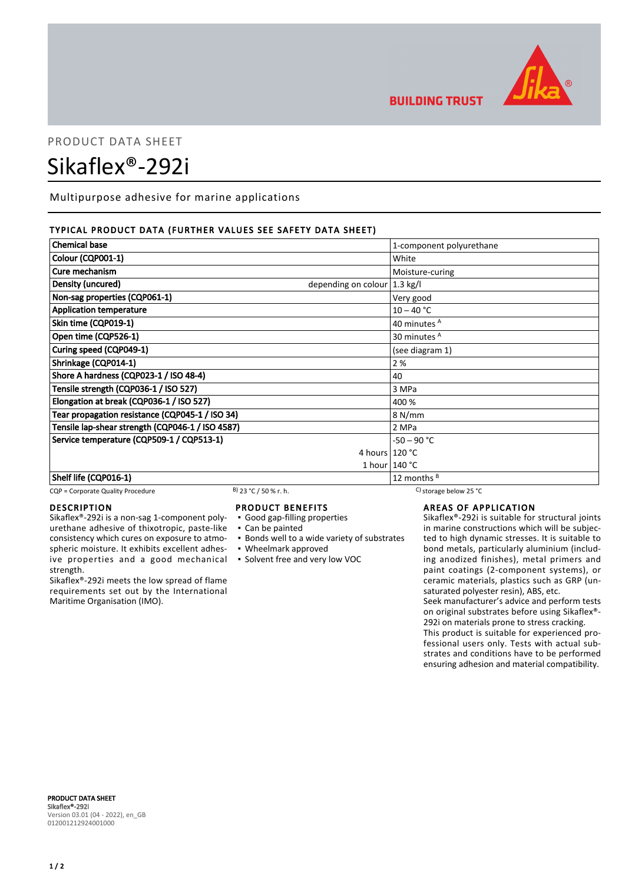

**BUILDING TRUST** 

# PRODUCT DATA SHEET Sikaflex®-292i

Multipurpose adhesive for marine applications

# TYPICAL PRODUCT DATA (FURTHER VALUES SEE SAFETY DATA SHEET)

| <b>Chemical base</b>                                | 1-component polyurethane |
|-----------------------------------------------------|--------------------------|
| Colour (CQP001-1)                                   | White                    |
| Cure mechanism                                      | Moisture-curing          |
| Density (uncured)<br>depending on colour   1.3 kg/l |                          |
| Non-sag properties (CQP061-1)                       | Very good                |
| <b>Application temperature</b>                      | $10 - 40 °C$             |
| Skin time (CQP019-1)                                | 40 minutes <sup>A</sup>  |
| Open time (CQP526-1)                                | 30 minutes <sup>A</sup>  |
| Curing speed (CQP049-1)                             | (see diagram 1)          |
| Shrinkage (CQP014-1)                                | 2%                       |
| Shore A hardness (CQP023-1 / ISO 48-4)              | 40                       |
| Tensile strength (CQP036-1 / ISO 527)               | 3 MPa                    |
| Elongation at break (CQP036-1 / ISO 527)            | 400 %                    |
| Tear propagation resistance (CQP045-1 / ISO 34)     | 8 N/mm                   |
| Tensile lap-shear strength (CQP046-1 / ISO 4587)    | 2 MPa                    |
| Service temperature (CQP509-1 / CQP513-1)           | $-50 - 90 °C$            |
|                                                     | 4 hours $120 °C$         |
|                                                     | 1 hour $140 °C$          |
| Shelf life (CQP016-1)                               | 12 months $B$            |

CQP = Corporate Quality Procedure B) 23 °C / 50 % r. h. C) storage below 25 °C

### DESCRIPTION

Sikaflex®-292i is a non-sag 1-component polyurethane adhesive of thixotropic, paste-like consistency which cures on exposure to atmospheric moisture. It exhibits excellent adhesive properties and a good mechanical strength.

Sikaflex®-292i meets the low spread of flame requirements set out by the International Maritime Organisation (IMO).

# PRODUCT BENEFITS

▪ Good gap-filling properties

- Can be painted
- Bonds well to a wide variety of substrates
- Wheelmark approved
- Solvent free and very low VOC

# AREAS OF APPLICATION

Sikaflex®-292i is suitable for structural joints in marine constructions which will be subjected to high dynamic stresses. It is suitable to bond metals, particularly aluminium (including anodized finishes), metal primers and paint coatings (2-component systems), or ceramic materials, plastics such as GRP (unsaturated polyester resin), ABS, etc.

Seek manufacturer's advice and perform tests on original substrates before using Sikaflex®- 292i on materials prone to stress cracking.

This product is suitable for experienced professional users only. Tests with actual substrates and conditions have to be performed ensuring adhesion and material compatibility.

PRODUCT DATA SHEET Sikaflex®-292i Version 03.01 (04 - 2022), en\_GB 012001212924001000